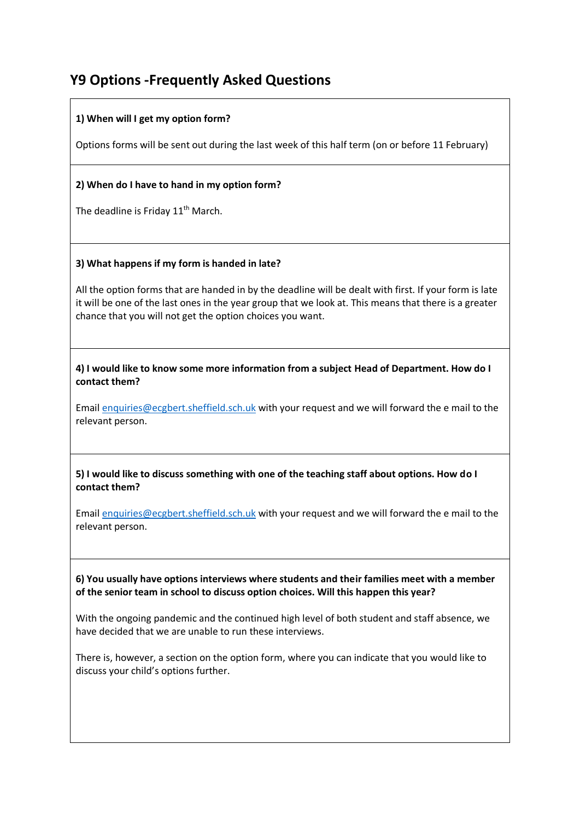# **Y9 Options -Frequently Asked Questions**

# **1) When will I get my option form?**

Options forms will be sent out during the last week of this half term (on or before 11 February)

# **2) When do I have to hand in my option form?**

The deadline is Friday  $11^{\text{th}}$  March.

#### **3) What happens if my form is handed in late?**

All the option forms that are handed in by the deadline will be dealt with first. If your form is late it will be one of the last ones in the year group that we look at. This means that there is a greater chance that you will not get the option choices you want.

**4) I would like to know some more information from a subject Head of Department. How do I contact them?**

Emai[l enquiries@ecgbert.sheffield.sch.uk](mailto:enquiries@ecgbert.sheffield.sch.uk) with your request and we will forward the e mail to the relevant person.

# **5) I would like to discuss something with one of the teaching staff about options. How do I contact them?**

Emai[l enquiries@ecgbert.sheffield.sch.uk](mailto:enquiries@ecgbert.sheffield.sch.uk) with your request and we will forward the e mail to the relevant person.

**6) You usually have options interviews where students and their families meet with a member of the senior team in school to discuss option choices. Will this happen this year?**

With the ongoing pandemic and the continued high level of both student and staff absence, we have decided that we are unable to run these interviews.

There is, however, a section on the option form, where you can indicate that you would like to discuss your child's options further.